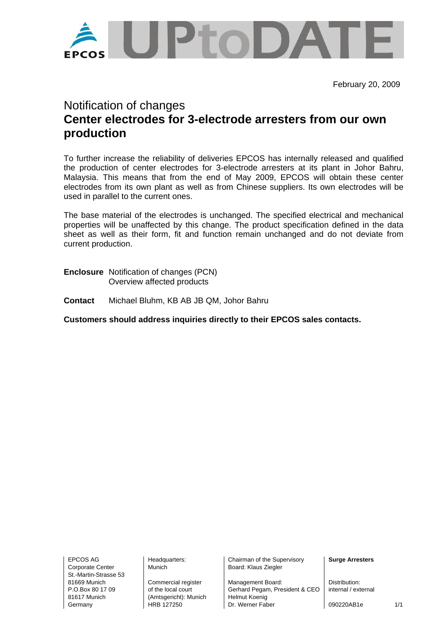

February 20, 2009

## Notification of changes **Center electrodes for 3-electrode arresters from our own production**

To further increase the reliability of deliveries EPCOS has internally released and qualified the production of center electrodes for 3-electrode arresters at its plant in Johor Bahru, Malaysia. This means that from the end of May 2009, EPCOS will obtain these center electrodes from its own plant as well as from Chinese suppliers. Its own electrodes will be used in parallel to the current ones.

The base material of the electrodes is unchanged. The specified electrical and mechanical properties will be unaffected by this change. The product specification defined in the data sheet as well as their form, fit and function remain unchanged and do not deviate from current production.

- **Enclosure** Notification of changes (PCN) Overview affected products
- **Contact** Michael Bluhm, KB AB JB QM, Johor Bahru

**Customers should address inquiries directly to their EPCOS sales contacts.** 

Corporate Center Munich Nunich Board: Klaus Ziegler St.-Martin-Strasse 53

81617 Munich (Amtsgericht): Munich Helmut Koenig

EPCOS AG Headquarters: Chairman of the Supervisory **Surge Arresters** 

81669 Munich Commercial register Management Board: Distribution:<br>
P.O.Box 80.17.09 of the local court Gerhard Pegam, President & CFO internal / external of the local court **Gerhard Pegam, President & CEO** Germany **HRB 127250** Dr. Werner Faber **1990220AB1e** 1/1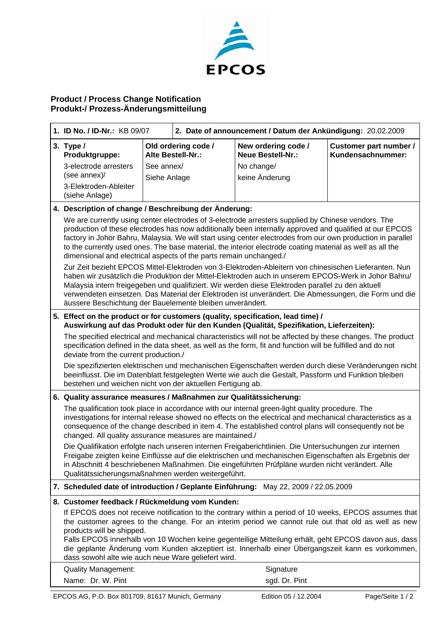

## **Product / Process Change Notification Produkt-/ Prozess-Änderungsmitteilung**

| 1. ID No. / ID-Nr.: KB 09/07                                                                                                                                                                                                                                                                                                                                                                                                                                                                                    |                                                                                                                                                                                                                                                                              | 2. Date of announcement / Datum der Ankündigung: 20.02.2009 |                                                 |                                             |
|-----------------------------------------------------------------------------------------------------------------------------------------------------------------------------------------------------------------------------------------------------------------------------------------------------------------------------------------------------------------------------------------------------------------------------------------------------------------------------------------------------------------|------------------------------------------------------------------------------------------------------------------------------------------------------------------------------------------------------------------------------------------------------------------------------|-------------------------------------------------------------|-------------------------------------------------|---------------------------------------------|
| 3. Type /<br>Produktgruppe:                                                                                                                                                                                                                                                                                                                                                                                                                                                                                     |                                                                                                                                                                                                                                                                              | Old ordering code /<br>Alte Bestell-Nr.:                    | New ordering code /<br><b>Neue Bestell-Nr.:</b> | Customer part number /<br>Kundensachnummer: |
| 3-electrode arresters                                                                                                                                                                                                                                                                                                                                                                                                                                                                                           | See annex/                                                                                                                                                                                                                                                                   |                                                             | No change/                                      |                                             |
| (see annex)/                                                                                                                                                                                                                                                                                                                                                                                                                                                                                                    | Siehe Anlage                                                                                                                                                                                                                                                                 |                                                             | keine Änderung                                  |                                             |
| 3-Elektroden-Ableiter<br>(siehe Anlage)                                                                                                                                                                                                                                                                                                                                                                                                                                                                         |                                                                                                                                                                                                                                                                              |                                                             |                                                 |                                             |
| 4. Description of change / Beschreibung der Änderung:                                                                                                                                                                                                                                                                                                                                                                                                                                                           |                                                                                                                                                                                                                                                                              |                                                             |                                                 |                                             |
| We are currently using center electrodes of 3-electrode arresters supplied by Chinese vendors. The<br>production of these electrodes has now additionally been internally approved and qualified at our EPCOS<br>factory in Johor Bahru, Malaysia. We will start using center electrodes from our own production in parallel<br>to the currently used ones. The base material, the interior electrode coating material as well as all the<br>dimensional and electrical aspects of the parts remain unchanged./ |                                                                                                                                                                                                                                                                              |                                                             |                                                 |                                             |
| Zur Zeit bezieht EPCOS Mittel-Elektroden von 3-Elektroden-Ableitern von chinesischen Lieferanten. Nun<br>haben wir zusätzlich die Produktion der Mittel-Elektroden auch in unserem EPCOS-Werk in Johor Bahru/<br>Malaysia intern freigegeben und qualifiziert. Wir werden diese Elektroden parallel zu den aktuell<br>verwendeten einsetzen. Das Material der Elektroden ist unverändert. Die Abmessungen, die Form und die<br>äussere Beschichtung der Bauelemente bleiben unverändert.                        |                                                                                                                                                                                                                                                                              |                                                             |                                                 |                                             |
| 5. Effect on the product or for customers (quality, specification, lead time) /<br>Auswirkung auf das Produkt oder für den Kunden (Qualität, Spezifikation, Lieferzeiten):                                                                                                                                                                                                                                                                                                                                      |                                                                                                                                                                                                                                                                              |                                                             |                                                 |                                             |
| The specified electrical and mechanical characteristics will not be affected by these changes. The product<br>specification defined in the data sheet, as well as the form, fit and function will be fulfilled and do not<br>deviate from the current production./                                                                                                                                                                                                                                              |                                                                                                                                                                                                                                                                              |                                                             |                                                 |                                             |
|                                                                                                                                                                                                                                                                                                                                                                                                                                                                                                                 | Die spezifizierten elektrischen und mechanischen Eigenschaften werden durch diese Veränderungen nicht<br>beeinflusst. Die im Datenblatt festgelegten Werte wie auch die Gestalt, Passform und Funktion bleiben<br>bestehen und weichen nicht von der aktuellen Fertigung ab. |                                                             |                                                 |                                             |
| 6. Quality assurance measures / Maßnahmen zur Qualitätssicherung:                                                                                                                                                                                                                                                                                                                                                                                                                                               |                                                                                                                                                                                                                                                                              |                                                             |                                                 |                                             |
| The qualification took place in accordance with our internal green-light quality procedure. The<br>investigations for internal release showed no effects on the electrical and mechanical characteristics as a<br>consequence of the change described in item 4. The established control plans will consequently not be<br>changed. All quality assurance measures are maintained./                                                                                                                             |                                                                                                                                                                                                                                                                              |                                                             |                                                 |                                             |
| Die Qualifikation erfolgte nach unseren internen Freigaberichtlinien. Die Untersuchungen zur internen<br>Freigabe zeigten keine Einflüsse auf die elektrischen und mechanischen Eigenschaften als Ergebnis der<br>in Abschnitt 4 beschriebenen Maßnahmen. Die eingeführten Prüfpläne wurden nicht verändert. Alle<br>Qualitätssicherungsmaßnahmen werden weitergeführt.                                                                                                                                         |                                                                                                                                                                                                                                                                              |                                                             |                                                 |                                             |
|                                                                                                                                                                                                                                                                                                                                                                                                                                                                                                                 | 7. Scheduled date of introduction / Geplante Einführung: May 22, 2009 / 22.05.2009                                                                                                                                                                                           |                                                             |                                                 |                                             |
|                                                                                                                                                                                                                                                                                                                                                                                                                                                                                                                 | 8. Customer feedback / Rückmeldung vom Kunden:                                                                                                                                                                                                                               |                                                             |                                                 |                                             |
| If EPCOS does not receive notification to the contrary within a period of 10 weeks, EPCOS assumes that<br>the customer agrees to the change. For an interim period we cannot rule out that old as well as new<br>products will be shipped.<br>Falls EPCOS innerhalb von 10 Wochen keine gegenteilige Mitteilung erhält, geht EPCOS davon aus, dass<br>die geplante Änderung vom Kunden akzeptiert ist. Innerhalb einer Übergangszeit kann es vorkommen,<br>dass sowohl alte wie auch neue Ware geliefert wird.  |                                                                                                                                                                                                                                                                              |                                                             |                                                 |                                             |
| <b>Quality Management:</b>                                                                                                                                                                                                                                                                                                                                                                                                                                                                                      |                                                                                                                                                                                                                                                                              |                                                             | Signature                                       |                                             |
| Name: Dr. W. Pint                                                                                                                                                                                                                                                                                                                                                                                                                                                                                               |                                                                                                                                                                                                                                                                              |                                                             | sgd. Dr. Pint                                   |                                             |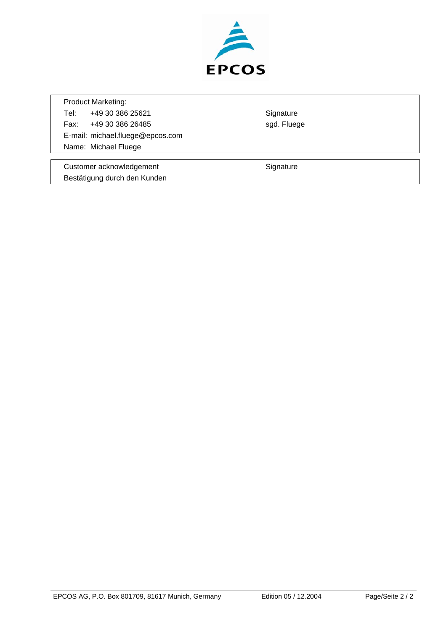

Product Marketing: Tel: +49 30 386 25621 Signature Fax: +49 30 386 26485 sgd. Fluege E-mail: michael.fluege@epcos.com Name: Michael Fluege

Customer acknowledgement **Signature** Signature Bestätigung durch den Kunden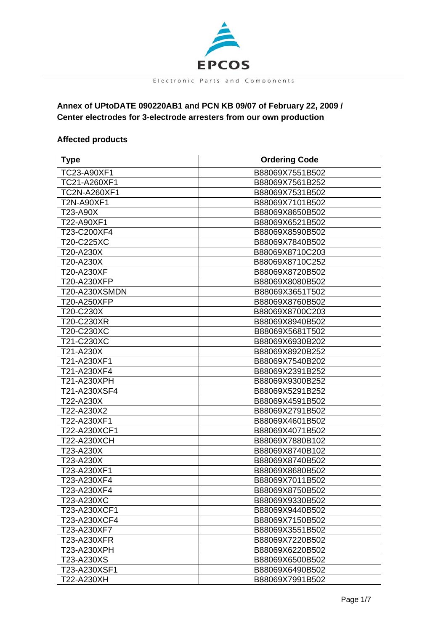

## **Annex of UPtoDATE 090220AB1 and PCN KB 09/07 of February 22, 2009 / Center electrodes for 3-electrode arresters from our own production**

## **Affected products**

| <b>Type</b>   | <b>Ordering Code</b> |
|---------------|----------------------|
| TC23-A90XF1   | B88069X7551B502      |
| TC21-A260XF1  | B88069X7561B252      |
| TC2N-A260XF1  | B88069X7531B502      |
| T2N-A90XF1    | B88069X7101B502      |
| T23-A90X      | B88069X8650B502      |
| T22-A90XF1    | B88069X6521B502      |
| T23-C200XF4   | B88069X8590B502      |
| T20-C225XC    | B88069X7840B502      |
| T20-A230X     | B88069X8710C203      |
| T20-A230X     | B88069X8710C252      |
| T20-A230XF    | B88069X8720B502      |
| T20-A230XFP   | B88069X8080B502      |
| T20-A230XSMDN | B88069X3651T502      |
| T20-A250XFP   | B88069X8760B502      |
| T20-C230X     | B88069X8700C203      |
| T20-C230XR    | B88069X8940B502      |
| T20-C230XC    | B88069X5681T502      |
| T21-C230XC    | B88069X6930B202      |
| T21-A230X     | B88069X8920B252      |
| T21-A230XF1   | B88069X7540B202      |
| T21-A230XF4   | B88069X2391B252      |
| T21-A230XPH   | B88069X9300B252      |
| T21-A230XSF4  | B88069X5291B252      |
| T22-A230X     | B88069X4591B502      |
| T22-A230X2    | B88069X2791B502      |
| T22-A230XF1   | B88069X4601B502      |
| T22-A230XCF1  | B88069X4071B502      |
| T22-A230XCH   | B88069X7880B102      |
| T23-A230X     | B88069X8740B102      |
| T23-A230X     | B88069X8740B502      |
| T23-A230XF1   | B88069X8680B502      |
| T23-A230XF4   | B88069X7011B502      |
| T23-A230XF4   | B88069X8750B502      |
| T23-A230XC    | B88069X9330B502      |
| T23-A230XCF1  | B88069X9440B502      |
| T23-A230XCF4  | B88069X7150B502      |
| T23-A230XF7   | B88069X3551B502      |
| T23-A230XFR   | B88069X7220B502      |
| T23-A230XPH   | B88069X6220B502      |
| T23-A230XS    | B88069X6500B502      |
| T23-A230XSF1  | B88069X6490B502      |
| T22-A230XH    | B88069X7991B502      |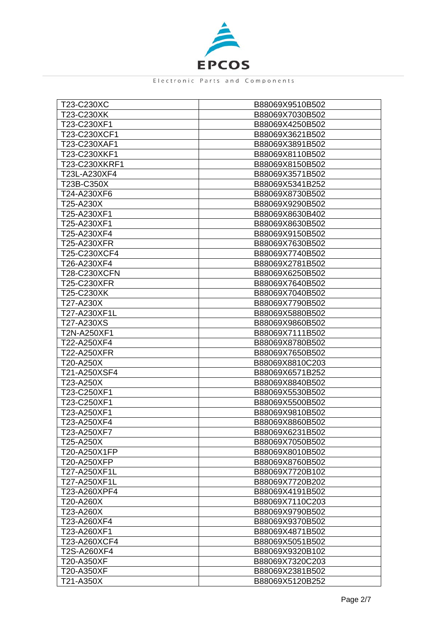

| T23-C230XC    | B88069X9510B502 |
|---------------|-----------------|
| T23-C230XK    | B88069X7030B502 |
| T23-C230XF1   | B88069X4250B502 |
| T23-C230XCF1  | B88069X3621B502 |
| T23-C230XAF1  | B88069X3891B502 |
| T23-C230XKF1  | B88069X8110B502 |
| T23-C230XKRF1 | B88069X8150B502 |
| T23L-A230XF4  | B88069X3571B502 |
| T23B-C350X    | B88069X5341B252 |
| T24-A230XF6   | B88069X8730B502 |
| T25-A230X     | B88069X9290B502 |
| T25-A230XF1   | B88069X8630B402 |
| T25-A230XF1   | B88069X8630B502 |
| T25-A230XF4   | B88069X9150B502 |
| T25-A230XFR   | B88069X7630B502 |
| T25-C230XCF4  | B88069X7740B502 |
| T26-A230XF4   | B88069X2781B502 |
| T28-C230XCFN  | B88069X6250B502 |
| T25-C230XFR   | B88069X7640B502 |
| T25-C230XK    | B88069X7040B502 |
| T27-A230X     | B88069X7790B502 |
| T27-A230XF1L  | B88069X5880B502 |
| T27-A230XS    | B88069X9860B502 |
| T2N-A250XF1   | B88069X7111B502 |
| T22-A250XF4   | B88069X8780B502 |
| T22-A250XFR   | B88069X7650B502 |
| T20-A250X     | B88069X8810C203 |
| T21-A250XSF4  | B88069X6571B252 |
| T23-A250X     | B88069X8840B502 |
| T23-C250XF1   | B88069X5530B502 |
| T23-C250XF1   | B88069X5500B502 |
| T23-A250XF1   | B88069X9810B502 |
| T23-A250XF4   | B88069X8860B502 |
| T23-A250XF7   | B88069X6231B502 |
| T25-A250X     | B88069X7050B502 |
| T20-A250X1FP  | B88069X8010B502 |
| T20-A250XFP   | B88069X8760B502 |
| T27-A250XF1L  | B88069X7720B102 |
| T27-A250XF1L  | B88069X7720B202 |
| T23-A260XPF4  | B88069X4191B502 |
| T20-A260X     | B88069X7110C203 |
| T23-A260X     | B88069X9790B502 |
| T23-A260XF4   | B88069X9370B502 |
| T23-A260XF1   | B88069X4871B502 |
| T23-A260XCF4  | B88069X5051B502 |
| T2S-A260XF4   | B88069X9320B102 |
| T20-A350XF    | B88069X7320C203 |
| T20-A350XF    | B88069X2381B502 |
| T21-A350X     | B88069X5120B252 |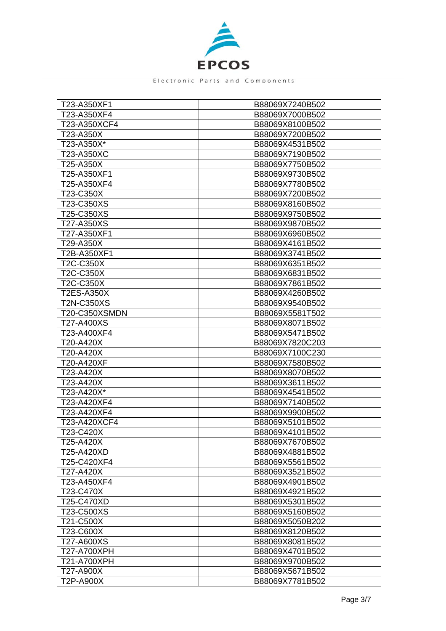

| T23-A350XF1          | B88069X7240B502 |
|----------------------|-----------------|
| T23-A350XF4          | B88069X7000B502 |
| T23-A350XCF4         | B88069X8100B502 |
| T23-A350X            | B88069X7200B502 |
| T23-A350X*           | B88069X4531B502 |
| T23-A350XC           | B88069X7190B502 |
| T25-A350X            | B88069X7750B502 |
| T25-A350XF1          | B88069X9730B502 |
| T25-A350XF4          | B88069X7780B502 |
| T23-C350X            | B88069X7200B502 |
| T23-C350XS           | B88069X8160B502 |
| T25-C350XS           | B88069X9750B502 |
| T27-A350XS           | B88069X9870B502 |
| T27-A350XF1          | B88069X6960B502 |
| T29-A350X            | B88069X4161B502 |
| T2B-A350XF1          | B88069X3741B502 |
| T2C-C350X            | B88069X6351B502 |
| T2C-C350X            | B88069X6831B502 |
| T2C-C350X            | B88069X7861B502 |
| <b>T2ES-A350X</b>    | B88069X4260B502 |
| <b>T2N-C350XS</b>    | B88069X9540B502 |
| <b>T20-C350XSMDN</b> | B88069X5581T502 |
| T27-A400XS           | B88069X8071B502 |
| T23-A400XF4          | B88069X5471B502 |
| T20-A420X            | B88069X7820C203 |
| T20-A420X            | B88069X7100C230 |
| T20-A420XF           | B88069X7580B502 |
| T23-A420X            | B88069X8070B502 |
| T23-A420X            | B88069X3611B502 |
| T23-A420X*           | B88069X4541B502 |
| T23-A420XF4          | B88069X7140B502 |
| T23-A420XF4          | B88069X9900B502 |
| T23-A420XCF4         | B88069X5101B502 |
| T23-C420X            | B88069X4101B502 |
| T25-A420X            | B88069X7670B502 |
| T25-A420XD           | B88069X4881B502 |
| T25-C420XF4          | B88069X5561B502 |
| T27-A420X            | B88069X3521B502 |
| T23-A450XF4          | B88069X4901B502 |
| T23-C470X            | B88069X4921B502 |
| T25-C470XD           | B88069X5301B502 |
| T23-C500XS           | B88069X5160B502 |
| T21-C500X            | B88069X5050B202 |
| T23-C600X            | B88069X8120B502 |
| T27-A600XS           | B88069X8081B502 |
| T27-A700XPH          | B88069X4701B502 |
| T21-A700XPH          | B88069X9700B502 |
| T27-A900X            | B88069X5671B502 |
| T2P-A900X            | B88069X7781B502 |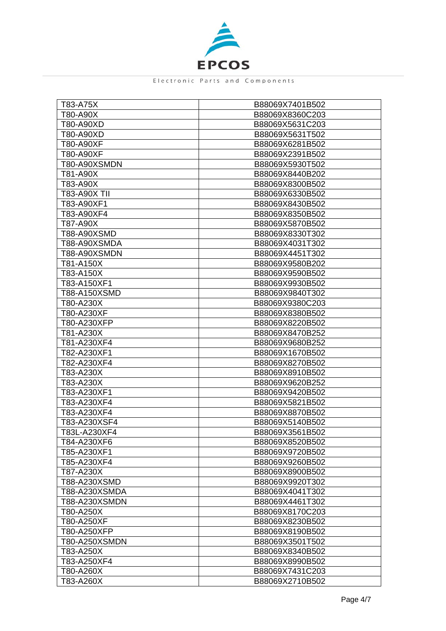

| T83-A75X      | B88069X7401B502 |
|---------------|-----------------|
| T80-A90X      | B88069X8360C203 |
| T80-A90XD     | B88069X5631C203 |
| T80-A90XD     | B88069X5631T502 |
| T80-A90XF     | B88069X6281B502 |
| T80-A90XF     | B88069X2391B502 |
| T80-A90XSMDN  | B88069X5930T502 |
| T81-A90X      | B88069X8440B202 |
| T83-A90X      | B88069X8300B502 |
| T83-A90X TII  | B88069X6330B502 |
| T83-A90XF1    | B88069X8430B502 |
| T83-A90XF4    | B88069X8350B502 |
| T87-A90X      | B88069X5870B502 |
| T88-A90XSMD   | B88069X8330T302 |
| T88-A90XSMDA  | B88069X4031T302 |
| T88-A90XSMDN  | B88069X4451T302 |
| T81-A150X     | B88069X9580B202 |
| T83-A150X     | B88069X9590B502 |
| T83-A150XF1   | B88069X9930B502 |
| T88-A150XSMD  | B88069X9840T302 |
| T80-A230X     | B88069X9380C203 |
| T80-A230XF    | B88069X8380B502 |
| T80-A230XFP   | B88069X8220B502 |
| T81-A230X     | B88069X8470B252 |
| T81-A230XF4   | B88069X9680B252 |
| T82-A230XF1   | B88069X1670B502 |
| T82-A230XF4   | B88069X8270B502 |
| T83-A230X     | B88069X8910B502 |
| T83-A230X     | B88069X9620B252 |
| T83-A230XF1   | B88069X9420B502 |
| T83-A230XF4   | B88069X5821B502 |
| T83-A230XF4   | B88069X8870B502 |
| T83-A230XSF4  | B88069X5140B502 |
| T83L-A230XF4  | B88069X3561B502 |
| T84-A230XF6   | B88069X8520B502 |
| T85-A230XF1   | B88069X9720B502 |
| T85-A230XF4   | B88069X9260B502 |
| T87-A230X     | B88069X8900B502 |
| T88-A230XSMD  | B88069X9920T302 |
| T88-A230XSMDA | B88069X4041T302 |
| T88-A230XSMDN | B88069X4461T302 |
| T80-A250X     | B88069X8170C203 |
| T80-A250XF    | B88069X8230B502 |
| T80-A250XFP   | B88069X8190B502 |
| T80-A250XSMDN | B88069X3501T502 |
| T83-A250X     | B88069X8340B502 |
| T83-A250XF4   | B88069X8990B502 |
| T80-A260X     | B88069X7431C203 |
| T83-A260X     | B88069X2710B502 |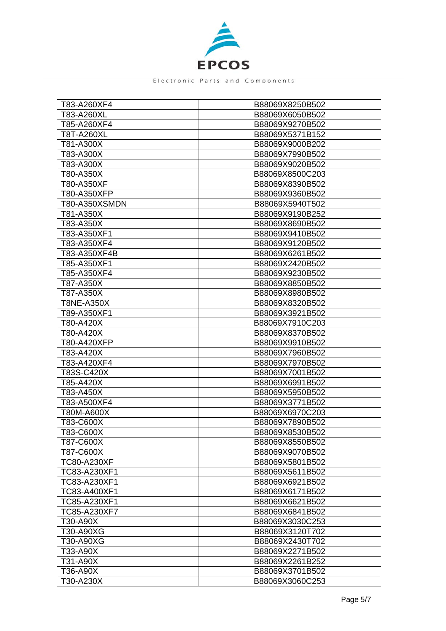

| T83-A260XF4        | B88069X8250B502 |
|--------------------|-----------------|
| T83-A260XL         | B88069X6050B502 |
| T85-A260XF4        | B88069X9270B502 |
| T8T-A260XL         | B88069X5371B152 |
| T81-A300X          | B88069X9000B202 |
| T83-A300X          | B88069X7990B502 |
| T83-A300X          | B88069X9020B502 |
| T80-A350X          | B88069X8500C203 |
| T80-A350XF         | B88069X8390B502 |
| T80-A350XFP        | B88069X9360B502 |
| T80-A350XSMDN      | B88069X5940T502 |
| T81-A350X          | B88069X9190B252 |
| T83-A350X          | B88069X8690B502 |
| T83-A350XF1        | B88069X9410B502 |
| T83-A350XF4        | B88069X9120B502 |
| T83-A350XF4B       | B88069X6261B502 |
| T85-A350XF1        | B88069X2420B502 |
| T85-A350XF4        | B88069X9230B502 |
| T87-A350X          | B88069X8850B502 |
| T87-A350X          | B88069X8980B502 |
| <b>T8NE-A350X</b>  | B88069X8320B502 |
| T89-A350XF1        | B88069X3921B502 |
| T80-A420X          | B88069X7910C203 |
| T80-A420X          | B88069X8370B502 |
| T80-A420XFP        | B88069X9910B502 |
| T83-A420X          | B88069X7960B502 |
| T83-A420XF4        | B88069X7970B502 |
| T83S-C420X         | B88069X7001B502 |
| T85-A420X          | B88069X6991B502 |
| T83-A450X          | B88069X5950B502 |
| T83-A500XF4        | B88069X3771B502 |
| T80M-A600X         | B88069X6970C203 |
| T83-C600X          | B88069X7890B502 |
| T83-C600X          | B88069X8530B502 |
| T87-C600X          | B88069X8550B502 |
| T87-C600X          | B88069X9070B502 |
| <b>TC80-A230XF</b> | B88069X5801B502 |
| TC83-A230XF1       | B88069X5611B502 |
| TC83-A230XF1       | B88069X6921B502 |
| TC83-A400XF1       | B88069X6171B502 |
| TC85-A230XF1       | B88069X6621B502 |
| TC85-A230XF7       | B88069X6841B502 |
| T30-A90X           | B88069X3030C253 |
| T30-A90XG          | B88069X3120T702 |
| T30-A90XG          | B88069X2430T702 |
| T33-A90X           | B88069X2271B502 |
| T31-A90X           | B88069X2261B252 |
| T36-A90X           | B88069X3701B502 |
| T30-A230X          | B88069X3060C253 |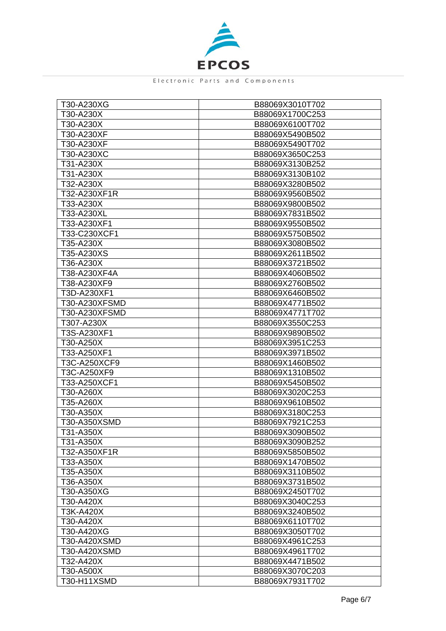

| T30-A230XG    | B88069X3010T702 |
|---------------|-----------------|
| T30-A230X     | B88069X1700C253 |
| T30-A230X     | B88069X6100T702 |
| T30-A230XF    | B88069X5490B502 |
| T30-A230XF    | B88069X5490T702 |
| T30-A230XC    | B88069X3650C253 |
| T31-A230X     | B88069X3130B252 |
| T31-A230X     | B88069X3130B102 |
| T32-A230X     | B88069X3280B502 |
| T32-A230XF1R  | B88069X9560B502 |
| T33-A230X     | B88069X9800B502 |
| T33-A230XL    | B88069X7831B502 |
| T33-A230XF1   | B88069X9550B502 |
| T33-C230XCF1  | B88069X5750B502 |
| T35-A230X     | B88069X3080B502 |
| T35-A230XS    | B88069X2611B502 |
| T36-A230X     | B88069X3721B502 |
| T38-A230XF4A  | B88069X4060B502 |
| T38-A230XF9   | B88069X2760B502 |
| T3D-A230XF1   | B88069X6460B502 |
| T30-A230XFSMD | B88069X4771B502 |
| T30-A230XFSMD | B88069X4771T702 |
| T307-A230X    | B88069X3550C253 |
| T3S-A230XF1   | B88069X9890B502 |
| T30-A250X     | B88069X3951C253 |
| T33-A250XF1   | B88069X3971B502 |
| T3C-A250XCF9  | B88069X1460B502 |
| T3C-A250XF9   | B88069X1310B502 |
| T33-A250XCF1  | B88069X5450B502 |
| T30-A260X     | B88069X3020C253 |
| T35-A260X     | B88069X9610B502 |
| T30-A350X     | B88069X3180C253 |
| T30-A350XSMD  | B88069X7921C253 |
| T31-A350X     | B88069X3090B502 |
| T31-A350X     | B88069X3090B252 |
| T32-A350XF1R  | B88069X5850B502 |
| T33-A350X     | B88069X1470B502 |
| T35-A350X     | B88069X3110B502 |
| T36-A350X     | B88069X3731B502 |
| T30-A350XG    | B88069X2450T702 |
| T30-A420X     | B88069X3040C253 |
| T3K-A420X     | B88069X3240B502 |
| T30-A420X     | B88069X6110T702 |
| T30-A420XG    | B88069X3050T702 |
| T30-A420XSMD  | B88069X4961C253 |
| T30-A420XSMD  | B88069X4961T702 |
| T32-A420X     | B88069X4471B502 |
| T30-A500X     | B88069X3070C203 |
| T30-H11XSMD   | B88069X7931T702 |